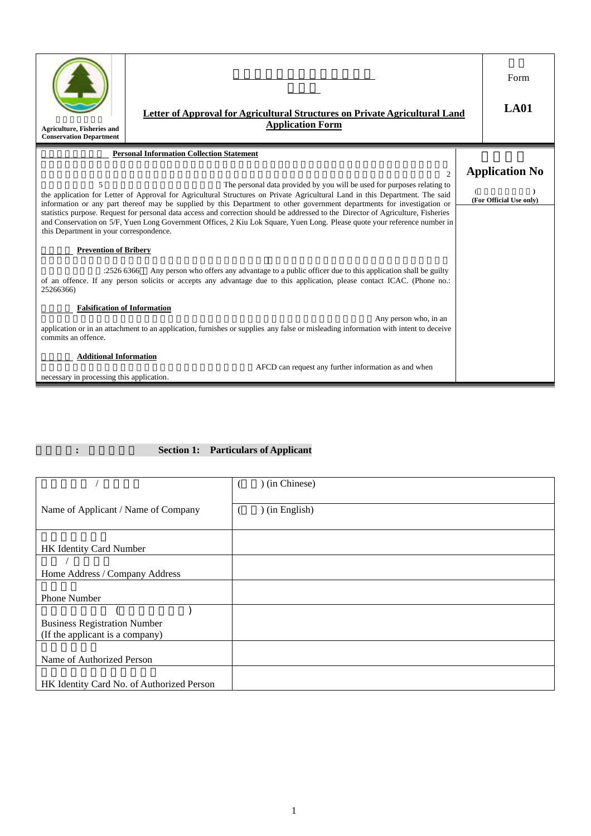| <b>Letter of Approval for Agricultural Structures on Private Agricultural Land</b><br><b>Application Form</b><br><b>Agriculture, Fisheries and</b><br><b>Conservation Department</b>                                                                                                  |                                                                                                                                                                                                                                                                                                                                                                                                                                                                                                                                                                                                                                     |  |                                                  |
|---------------------------------------------------------------------------------------------------------------------------------------------------------------------------------------------------------------------------------------------------------------------------------------|-------------------------------------------------------------------------------------------------------------------------------------------------------------------------------------------------------------------------------------------------------------------------------------------------------------------------------------------------------------------------------------------------------------------------------------------------------------------------------------------------------------------------------------------------------------------------------------------------------------------------------------|--|--------------------------------------------------|
|                                                                                                                                                                                                                                                                                       | <b>Personal Information Collection Statement</b>                                                                                                                                                                                                                                                                                                                                                                                                                                                                                                                                                                                    |  |                                                  |
| 5<br>this Department in your correspondence.                                                                                                                                                                                                                                          | $\mathcal{D}_{\mathcal{L}}$<br>The personal data provided by you will be used for purposes relating to<br>the application for Letter of Approval for Agricultural Structures on Private Agricultural Land in this Department. The said<br>information or any part thereof may be supplied by this Department to other government departments for investigation or<br>statistics purpose. Request for personal data access and correction should be addressed to the Director of Agriculture, Fisheries<br>and Conservation on 5/F, Yuen Long Government Offices, 2 Kiu Lok Square, Yuen Long. Please quote your reference number in |  | <b>Application No</b><br>(For Official Use only) |
| <b>Prevention of Bribery</b><br>Any person who offers any advantage to a public officer due to this application shall be guilty<br>:25266366<br>of an offence. If any person solicits or accepts any advantage due to this application, please contact ICAC. (Phone no.:<br>25266366) |                                                                                                                                                                                                                                                                                                                                                                                                                                                                                                                                                                                                                                     |  |                                                  |
| <b>Falsification of Information</b><br>commits an offence.                                                                                                                                                                                                                            | Any person who, in an<br>application or in an attachment to an application, furnishes or supplies any false or misleading information with intent to deceive                                                                                                                                                                                                                                                                                                                                                                                                                                                                        |  |                                                  |
| <b>Additional Information</b><br>necessary in processing this application.                                                                                                                                                                                                            | AFCD can request any further information as and when                                                                                                                                                                                                                                                                                                                                                                                                                                                                                                                                                                                |  |                                                  |

# 第一部份**:** 申請人資料 **Section 1: Particulars of Applicant**

|                                           | ) (in Chinese) |
|-------------------------------------------|----------------|
|                                           |                |
| Name of Applicant / Name of Company       | ) (in English) |
|                                           |                |
|                                           |                |
| HK Identity Card Number                   |                |
|                                           |                |
| Home Address / Company Address            |                |
|                                           |                |
| <b>Phone Number</b>                       |                |
|                                           |                |
| <b>Business Registration Number</b>       |                |
| (If the applicant is a company)           |                |
|                                           |                |
| Name of Authorized Person                 |                |
|                                           |                |
| HK Identity Card No. of Authorized Person |                |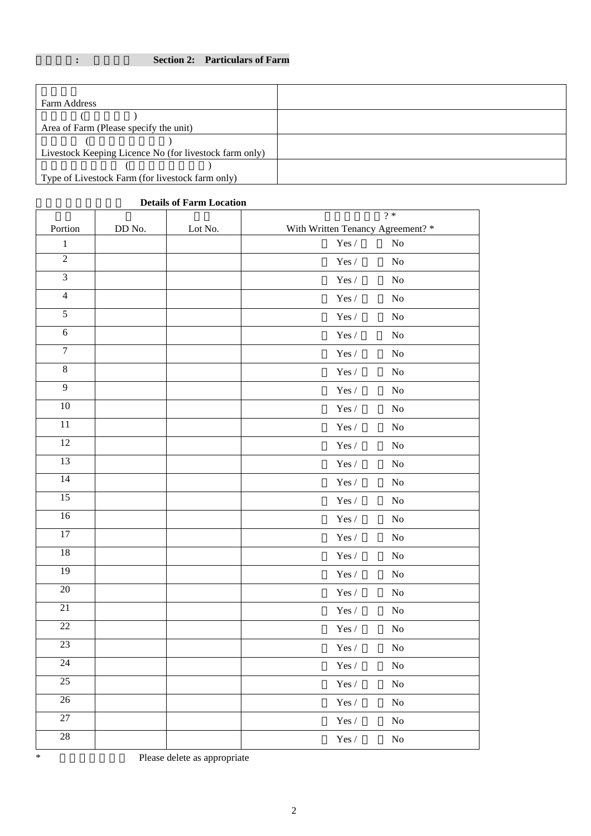## 第二部份**:** 農場資料 **Section 2: Particulars of Farm**

| Farm Address                                           |  |
|--------------------------------------------------------|--|
|                                                        |  |
| Area of Farm (Please specify the unit)                 |  |
|                                                        |  |
| Livestock Keeping Licence No (for livestock farm only) |  |
|                                                        |  |
| Type of Livestock Farm (for livestock farm only)       |  |
|                                                        |  |

## **Details of Farm Location**

| Portion         | DD No. | Lot No. | $? *$<br>With Written Tenancy Agreement? * |
|-----------------|--------|---------|--------------------------------------------|
| $\,1\,$         |        |         | Yes $\prime$<br>No                         |
| $\overline{2}$  |        |         | $\operatorname{Yes}/$<br>No                |
| $\overline{3}$  |        |         | $\operatorname{Yes}/$<br>$\rm No$          |
| $\overline{4}$  |        |         | $\operatorname{Yes}/$<br>$\rm No$          |
| 5               |        |         | $\operatorname{Yes}/$<br>N <sub>o</sub>    |
| $\sqrt{6}$      |        |         | $\operatorname{Yes}/$<br>$\rm No$          |
| $\overline{7}$  |        |         | $\operatorname{Yes}/$<br>$\rm No$          |
| $\,8\,$         |        |         | $\operatorname{Yes}/$<br>$\rm No$          |
| $\overline{9}$  |        |         | $\operatorname{Yes}/$<br>$\rm No$          |
| $10\,$          |        |         | $\operatorname{Yes}/$<br>$\rm No$          |
| 11              |        |         | $\operatorname{Yes}/$<br>N <sub>o</sub>    |
| 12              |        |         | $\operatorname{Yes}/$<br>No                |
| 13              |        |         | $\operatorname{Yes}/$<br>N <sub>0</sub>    |
| 14              |        |         | $\operatorname{Yes}/$<br>No                |
| 15              |        |         | $\operatorname{Yes}/$<br>No                |
| 16              |        |         | $\operatorname{Yes}/$<br>$\rm No$          |
| $\overline{17}$ |        |         | $\operatorname{Yes}/$<br>$\rm No$          |
| $18\,$          |        |         | $\operatorname{Yes}/$<br>$\rm No$          |
| 19              |        |         | $\operatorname{Yes}/$<br>$\rm No$          |
| $20\,$          |        |         | $\operatorname{Yes}/$<br>$\rm No$          |
| $\overline{21}$ |        |         | Yes /<br>$\rm No$                          |
| $\overline{22}$ |        |         | $\operatorname{Yes}/$<br>$\rm No$          |
| 23              |        |         | $\operatorname{Yes}/$<br>No                |
| $24\,$          |        |         | $\operatorname{Yes}/$<br>No                |
| 25              |        |         | $\operatorname{Yes}/$<br>$\rm No$          |
| $26\,$          |        |         | $\operatorname{Yes}/$<br>$\rm No$          |
| $\overline{27}$ |        |         | $\operatorname{Yes}/$<br>$\rm No$          |
| 28              |        |         | $\operatorname{Yes}/$<br>$\rm No$          |
|                 |        |         |                                            |

<sup>\*</sup> 請刪去不適用者 Please delete as appropriate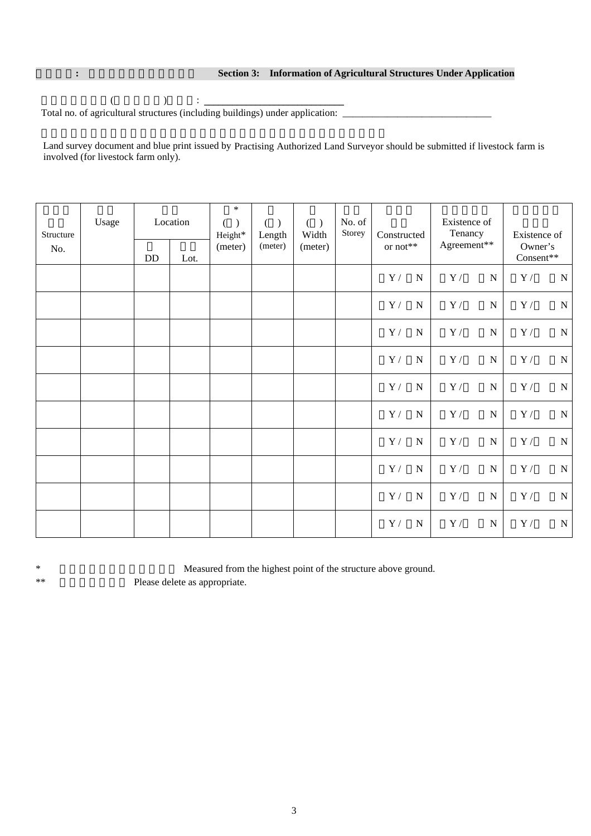#### **: Section 3: Information of Agricultural Structures Under Application**

 $\hspace{.1cm} ( \hspace{.1cm} ) \hspace{.3cm} : \, \_$ Total no. of agricultural structures (including buildings) under application: \_\_\_\_\_\_\_\_\_\_\_\_\_\_\_\_\_\_\_\_\_\_\_\_\_\_\_\_\_\_\_\_

Land survey document and blue print issued by Practising Authorized Land Surveyor should be submitted if livestock farm is involved (for livestock farm only).

| Structure<br>No. | Usage | $\rm DD$ | Location<br>Lot. | $\ast$<br>$\mathcal{E}$<br>(<br>Height*<br>(meter) | ( )<br>Length<br>(meter) | $(\ )$<br>Width<br>(meter) | No. of<br>Storey | Constructed<br>or not** |             | Existence of<br>Tenancy<br>Agreement** |           | Existence of<br>Owner's<br>Consent** |           |
|------------------|-------|----------|------------------|----------------------------------------------------|--------------------------|----------------------------|------------------|-------------------------|-------------|----------------------------------------|-----------|--------------------------------------|-----------|
|                  |       |          |                  |                                                    |                          |                            |                  | $\mathbf{Y}\,/\,$       | ${\bf N}$   | $\mathbf{Y}\,/\,$                      | ${\bf N}$ | $\mathbf{Y}\,/\,$                    | ${\bf N}$ |
|                  |       |          |                  |                                                    |                          |                            |                  | $\mathbf{Y}\,/\,$       | $\mathbf N$ | $\mathbf{Y}$ /                         | ${\bf N}$ | $\mathbf{Y}\,/\,$                    | ${\bf N}$ |
|                  |       |          |                  |                                                    |                          |                            |                  | $\mathbf{Y}\,/\,$       | $\mathbf N$ | Y/                                     | ${\bf N}$ | Y/                                   | ${\bf N}$ |
|                  |       |          |                  |                                                    |                          |                            |                  | $\mathbf{Y}\,/\,$       | $\mathbf N$ | $\mathbf{Y}\,/\,$                      | ${\bf N}$ | $\mathbf{Y}\,/\,$                    | ${\bf N}$ |
|                  |       |          |                  |                                                    |                          |                            |                  | $\mathbf{Y}\,/\,$       | $\mathbf N$ | $\mathbf{Y}\,/\,$                      | ${\bf N}$ | $\mathbf{Y}\,/\,$                    | ${\bf N}$ |
|                  |       |          |                  |                                                    |                          |                            |                  | $\mathbf{Y}\,/\,$       | $\mathbf N$ | $\mathbf{Y}\,/\,$                      | ${\bf N}$ | $\mathbf{Y}\,/\,$                    | ${\bf N}$ |
|                  |       |          |                  |                                                    |                          |                            |                  | $\mathbf{Y}\,/\,$       | $\mathbf N$ | $\mathbf{Y}\,/\,$                      | ${\bf N}$ | $\mathbf{Y}\,/\,$                    | ${\bf N}$ |
|                  |       |          |                  |                                                    |                          |                            |                  | $\mathbf{Y}\,/\,$       | ${\bf N}$   | $\mathbf{Y}\,/\,$                      | ${\bf N}$ | $\mathbf{Y}\,/\,$                    | ${\bf N}$ |
|                  |       |          |                  |                                                    |                          |                            |                  | $\mathbf{Y}\,/\,$       | $\mathbf N$ | $\mathbf{Y}\,/\,$                      | ${\bf N}$ | $\mathbf{Y}$ /                       | ${\bf N}$ |
|                  |       |          |                  |                                                    |                          |                            |                  | $\mathbf{Y}\,/\,$       | $\mathbf N$ | $\mathbf{Y}\,/\,$                      | ${\bf N}$ | $\mathbf{Y}\,/\,$                    | ${\bf N}$ |

\* Measured from the highest point of the structure above ground. \*\* Please delete as appropriate.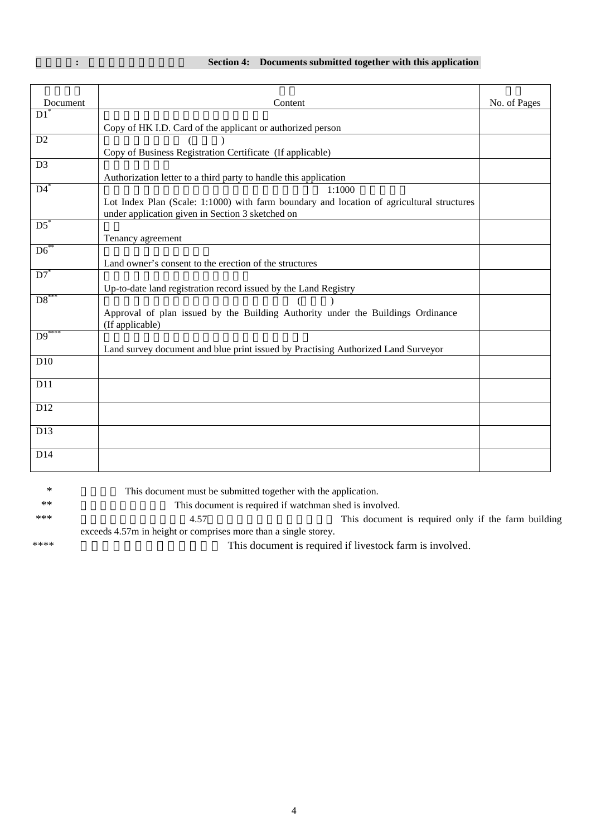# **: Section 4: Documents** submitted together with this application

| Document          | Content                                                                                                                                       | No. of Pages |
|-------------------|-----------------------------------------------------------------------------------------------------------------------------------------------|--------------|
| D1                |                                                                                                                                               |              |
|                   | Copy of HK I.D. Card of the applicant or authorized person                                                                                    |              |
| D <sub>2</sub>    |                                                                                                                                               |              |
|                   | Copy of Business Registration Certificate (If applicable)                                                                                     |              |
| D <sub>3</sub>    |                                                                                                                                               |              |
|                   | Authorization letter to a third party to handle this application                                                                              |              |
| $\overline{D4}^*$ | 1:1000                                                                                                                                        |              |
|                   | Lot Index Plan (Scale: 1:1000) with farm boundary and location of agricultural structures<br>under application given in Section 3 sketched on |              |
| $D5^*$            |                                                                                                                                               |              |
|                   | Tenancy agreement                                                                                                                             |              |
| $D6^*$            |                                                                                                                                               |              |
|                   | Land owner's consent to the erection of the structures                                                                                        |              |
| $D7^*$            |                                                                                                                                               |              |
|                   | Up-to-date land registration record issued by the Land Registry                                                                               |              |
| $DS^*$            |                                                                                                                                               |              |
|                   | Approval of plan issued by the Building Authority under the Buildings Ordinance<br>(If applicable)                                            |              |
| $D9$ **           |                                                                                                                                               |              |
|                   | Land survey document and blue print issued by Practising Authorized Land Surveyor                                                             |              |
| D10               |                                                                                                                                               |              |
| D11               |                                                                                                                                               |              |
| D12               |                                                                                                                                               |              |
|                   |                                                                                                                                               |              |
| D13               |                                                                                                                                               |              |
| D14               |                                                                                                                                               |              |
|                   |                                                                                                                                               |              |

| ∗    | This document must be submitted together with the application.  |                                                          |  |  |
|------|-----------------------------------------------------------------|----------------------------------------------------------|--|--|
| $**$ | This document is required if watchman shed is involved.         |                                                          |  |  |
| ***  | 4.57                                                            | This document is required only if the farm building      |  |  |
|      | exceeds 4.57m in height or comprises more than a single storey. |                                                          |  |  |
| **** |                                                                 | This document is required if livestock farm is involved. |  |  |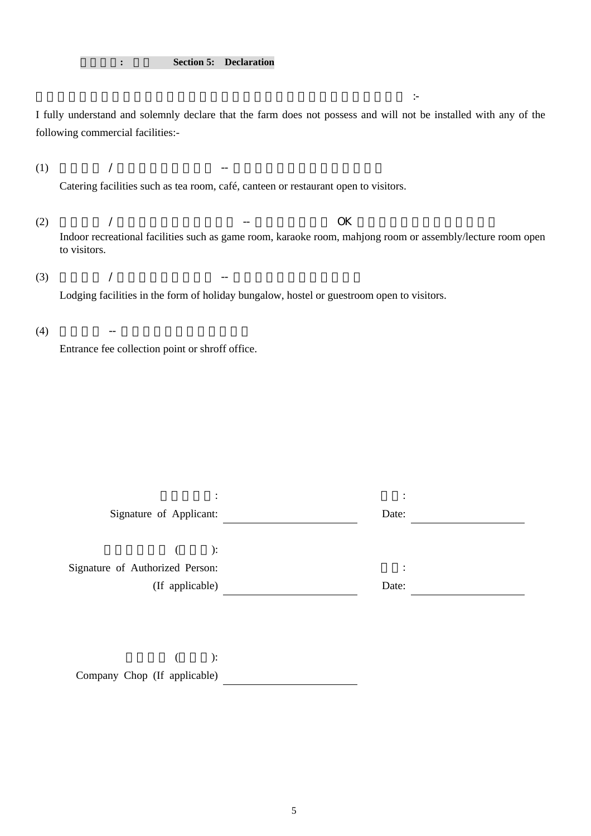I fully understand and solemnly declare that the farm does not possess and will not be installed with any of the following commercial facilities:-

(1)  $/$   $-$ Catering facilities such as tea room, café, canteen or restaurant open to visitors.

本人完全明白並謹此聲明農場內 亦不會設置下列任何一項具商業性的設施 :-

- (2) 供參觀者 / 遊客使用的室內康樂設施 -- 如遊戲室、卡拉 OK 房、麻雀房、會堂或課室等。 Indoor recreational facilities such as game room, karaoke room, mahjong room or assembly/lecture room open to visitors.
- (3)  $/$   $-$

Lodging facilities in the form of holiday bungalow, hostel or guestroom open to visitors.

 $(4)$  --

Entrance fee collection point or shroff office.

| Signature of Applicant:         | ٠<br>$\bullet$<br>Date:   |  |
|---------------------------------|---------------------------|--|
| $\therefore$                    |                           |  |
| Signature of Authorized Person: | ٠<br>$\ddot{\phantom{a}}$ |  |
| (If applicable)                 | Date:                     |  |
|                                 |                           |  |

 $($  ): Company Chop (If applicable)